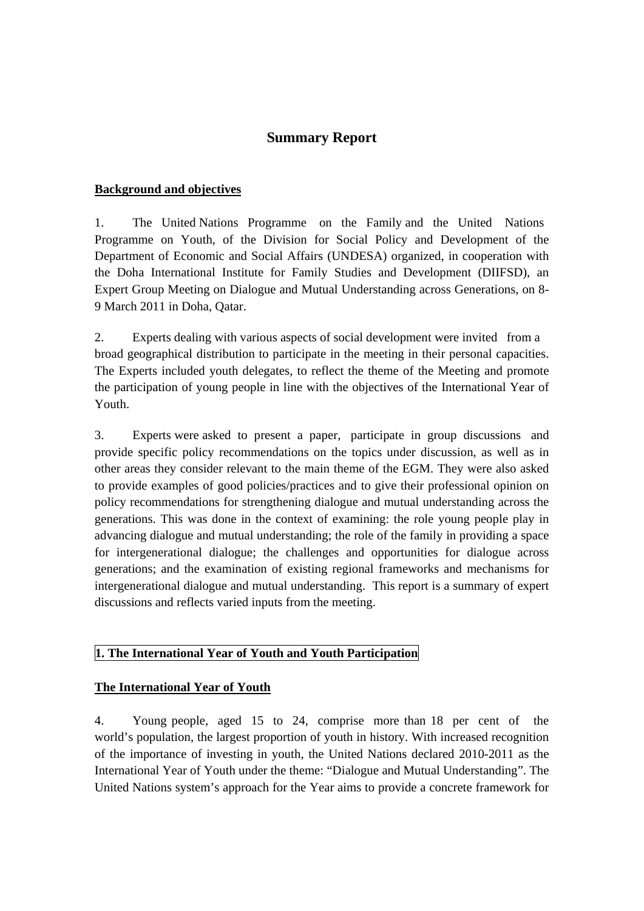# **Summary Report**

#### **Background and objectives**

1. The United Nations Programme on the Family and the United Nations Programme on Youth, of the Division for Social Policy and Development of the Department of Economic and Social Affairs (UNDESA) organized, in cooperation with the Doha International Institute for Family Studies and Development (DIIFSD), an Expert Group Meeting on Dialogue and Mutual Understanding across Generations, on 8- 9 March 2011 in Doha, Qatar.

2. Experts dealing with various aspects of social development were invited from a broad geographical distribution to participate in the meeting in their personal capacities. The Experts included youth delegates, to reflect the theme of the Meeting and promote the participation of young people in line with the objectives of the International Year of Youth.

3. Experts were asked to present a paper, participate in group discussions and provide specific policy recommendations on the topics under discussion, as well as in other areas they consider relevant to the main theme of the EGM. They were also asked to provide examples of good policies/practices and to give their professional opinion on policy recommendations for strengthening dialogue and mutual understanding across the generations. This was done in the context of examining: the role young people play in advancing dialogue and mutual understanding; the role of the family in providing a space for intergenerational dialogue; the challenges and opportunities for dialogue across generations; and the examination of existing regional frameworks and mechanisms for intergenerational dialogue and mutual understanding. This report is a summary of expert discussions and reflects varied inputs from the meeting.

#### **1. The International Year of Youth and Youth Participation**

#### **The International Year of Youth**

4. Young people, aged 15 to 24, comprise more than 18 per cent of the world's population, the largest proportion of youth in history. With increased recognition of the importance of investing in youth, the United Nations declared 2010-2011 as the International Year of Youth under the theme: "Dialogue and Mutual Understanding". The United Nations system's approach for the Year aims to provide a concrete framework for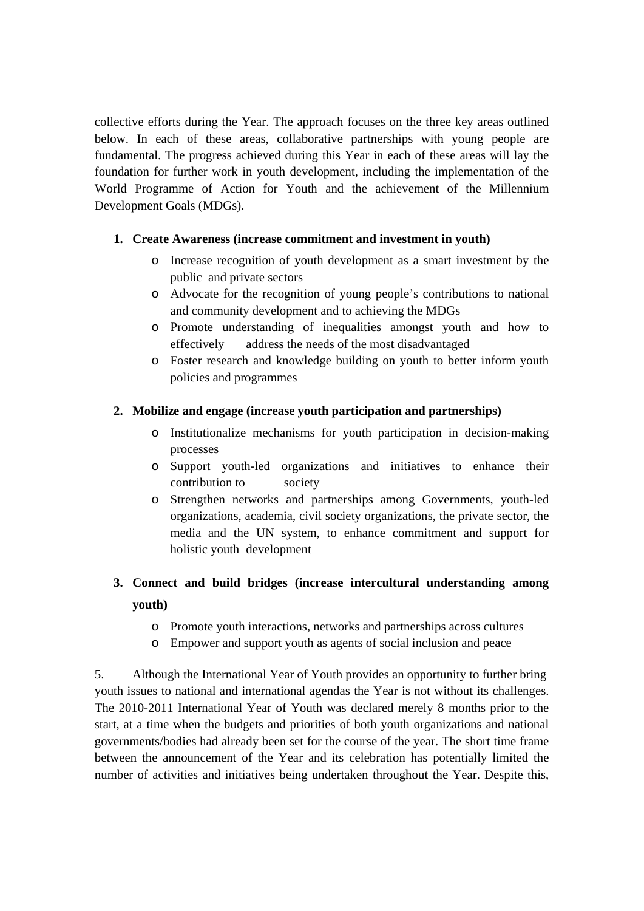collective efforts during the Year. The approach focuses on the three key areas outlined below. In each of these areas, collaborative partnerships with young people are fundamental. The progress achieved during this Year in each of these areas will lay the foundation for further work in youth development, including the implementation of the World Programme of Action for Youth and the achievement of the Millennium Development Goals (MDGs).

#### **1. Create Awareness (increase commitment and investment in youth)**

- o Increase recognition of youth development as a smart investment by the public and private sectors
- o Advocate for the recognition of young people's contributions to national and community development and to achieving the MDGs
- o Promote understanding of inequalities amongst youth and how to effectively address the needs of the most disadvantaged
- o Foster research and knowledge building on youth to better inform youth policies and programmes

#### **2. Mobilize and engage (increase youth participation and partnerships)**

- o Institutionalize mechanisms for youth participation in decision-making processes
- o Support youth-led organizations and initiatives to enhance their contribution to society
- o Strengthen networks and partnerships among Governments, youth-led organizations, academia, civil society organizations, the private sector, the media and the UN system, to enhance commitment and support for holistic youth development

# **3. Connect and build bridges (increase intercultural understanding among youth)**

- o Promote youth interactions, networks and partnerships across cultures
- o Empower and support youth as agents of social inclusion and peace

5. Although the International Year of Youth provides an opportunity to further bring youth issues to national and international agendas the Year is not without its challenges. The 2010-2011 International Year of Youth was declared merely 8 months prior to the start, at a time when the budgets and priorities of both youth organizations and national governments/bodies had already been set for the course of the year. The short time frame between the announcement of the Year and its celebration has potentially limited the number of activities and initiatives being undertaken throughout the Year. Despite this,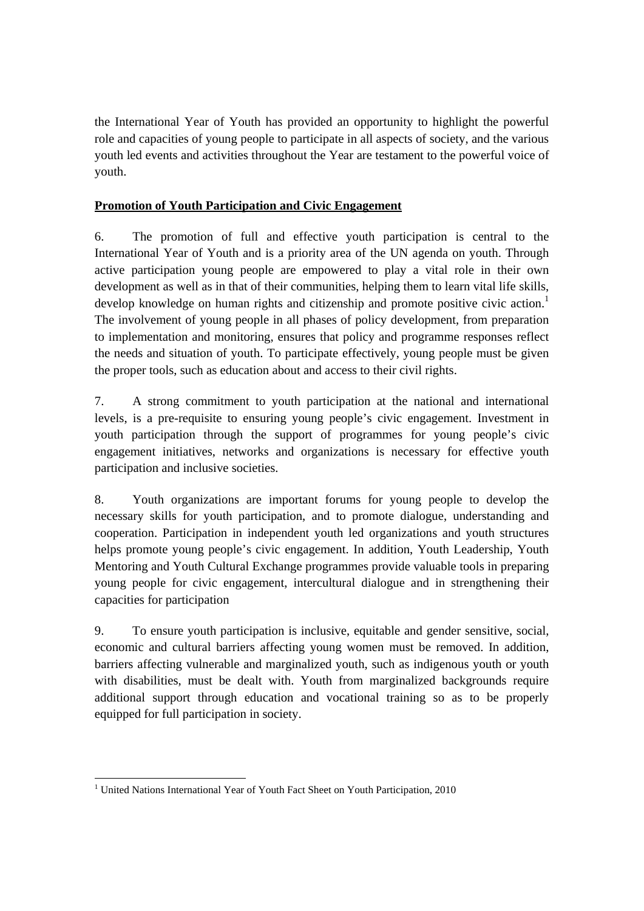the International Year of Youth has provided an opportunity to highlight the powerful role and capacities of young people to participate in all aspects of society, and the various youth led events and activities throughout the Year are testament to the powerful voice of youth.

## **Promotion of Youth Participation and Civic Engagement**

6. The promotion of full and effective youth participation is central to the International Year of Youth and is a priority area of the UN agenda on youth. Through active participation young people are empowered to play a vital role in their own development as well as in that of their communities, helping them to learn vital life skills, develop knowledge on human rights and citizenship and promote positive civic action.<sup>1</sup> The involvement of young people in all phases of policy development, from preparation to implementation and monitoring, ensures that policy and programme responses reflect the needs and situation of youth. To participate effectively, young people must be given the proper tools, such as education about and access to their civil rights.

7. A strong commitment to youth participation at the national and international levels, is a pre-requisite to ensuring young people's civic engagement. Investment in youth participation through the support of programmes for young people's civic engagement initiatives, networks and organizations is necessary for effective youth participation and inclusive societies.

8. Youth organizations are important forums for young people to develop the necessary skills for youth participation, and to promote dialogue, understanding and cooperation. Participation in independent youth led organizations and youth structures helps promote young people's civic engagement. In addition, Youth Leadership, Youth Mentoring and Youth Cultural Exchange programmes provide valuable tools in preparing young people for civic engagement, intercultural dialogue and in strengthening their capacities for participation

9. To ensure youth participation is inclusive, equitable and gender sensitive, social, economic and cultural barriers affecting young women must be removed. In addition, barriers affecting vulnerable and marginalized youth, such as indigenous youth or youth with disabilities, must be dealt with. Youth from marginalized backgrounds require additional support through education and vocational training so as to be properly equipped for full participation in society.

 $\overline{a}$ <sup>1</sup> United Nations International Year of Youth Fact Sheet on Youth Participation, 2010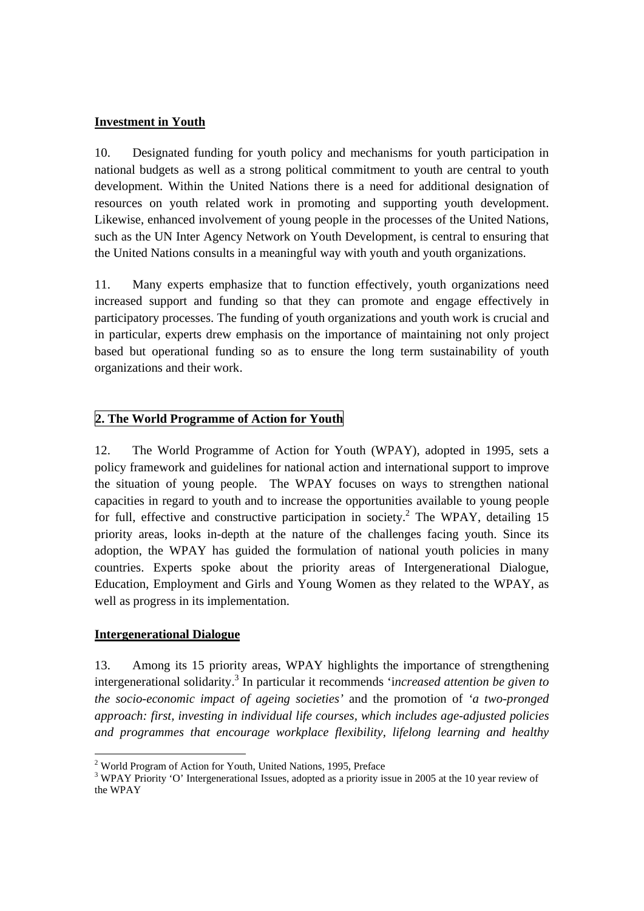#### **Investment in Youth**

10. Designated funding for youth policy and mechanisms for youth participation in national budgets as well as a strong political commitment to youth are central to youth development. Within the United Nations there is a need for additional designation of resources on youth related work in promoting and supporting youth development. Likewise, enhanced involvement of young people in the processes of the United Nations, such as the UN Inter Agency Network on Youth Development, is central to ensuring that the United Nations consults in a meaningful way with youth and youth organizations.

11. Many experts emphasize that to function effectively, youth organizations need increased support and funding so that they can promote and engage effectively in participatory processes. The funding of youth organizations and youth work is crucial and in particular, experts drew emphasis on the importance of maintaining not only project based but operational funding so as to ensure the long term sustainability of youth organizations and their work.

#### **2. The World Programme of Action for Youth**

12. The World Programme of Action for Youth (WPAY), adopted in 1995, sets a policy framework and guidelines for national action and international support to improve the situation of young people. The WPAY focuses on ways to strengthen national capacities in regard to youth and to increase the opportunities available to young people for full, effective and constructive participation in society.<sup>2</sup> The WPAY, detailing 15 priority areas, looks in-depth at the nature of the challenges facing youth. Since its adoption, the WPAY has guided the formulation of national youth policies in many countries. Experts spoke about the priority areas of Intergenerational Dialogue, Education, Employment and Girls and Young Women as they related to the WPAY, as well as progress in its implementation.

#### **Intergenerational Dialogue**

13. Among its 15 priority areas, WPAY highlights the importance of strengthening intergenerational solidarity.3 In particular it recommends 'i*ncreased attention be given to the socio-economic impact of ageing societies'* and the promotion of *'a two-pronged approach: first, investing in individual life courses, which includes age-adjusted policies and programmes that encourage workplace flexibility, lifelong learning and healthy* 

 2 World Program of Action for Youth, United Nations, 1995, Preface

<sup>&</sup>lt;sup>3</sup> WPAY Priority 'O' Intergenerational Issues, adopted as a priority issue in 2005 at the 10 year review of the WPAY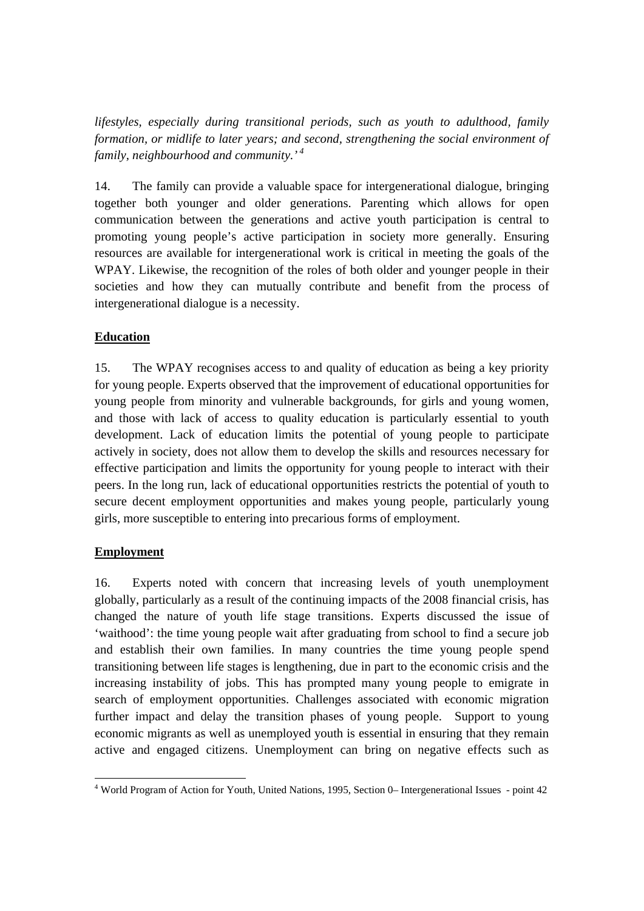*lifestyles, especially during transitional periods, such as youth to adulthood, family formation, or midlife to later years; and second, strengthening the social environment of family, neighbourhood and community.'<sup>4</sup>*

14. The family can provide a valuable space for intergenerational dialogue, bringing together both younger and older generations. Parenting which allows for open communication between the generations and active youth participation is central to promoting young people's active participation in society more generally. Ensuring resources are available for intergenerational work is critical in meeting the goals of the WPAY. Likewise, the recognition of the roles of both older and younger people in their societies and how they can mutually contribute and benefit from the process of intergenerational dialogue is a necessity.

## **Education**

15. The WPAY recognises access to and quality of education as being a key priority for young people. Experts observed that the improvement of educational opportunities for young people from minority and vulnerable backgrounds, for girls and young women, and those with lack of access to quality education is particularly essential to youth development. Lack of education limits the potential of young people to participate actively in society, does not allow them to develop the skills and resources necessary for effective participation and limits the opportunity for young people to interact with their peers. In the long run, lack of educational opportunities restricts the potential of youth to secure decent employment opportunities and makes young people, particularly young girls, more susceptible to entering into precarious forms of employment.

#### **Employment**

16. Experts noted with concern that increasing levels of youth unemployment globally, particularly as a result of the continuing impacts of the 2008 financial crisis, has changed the nature of youth life stage transitions. Experts discussed the issue of 'waithood': the time young people wait after graduating from school to find a secure job and establish their own families. In many countries the time young people spend transitioning between life stages is lengthening, due in part to the economic crisis and the increasing instability of jobs. This has prompted many young people to emigrate in search of employment opportunities. Challenges associated with economic migration further impact and delay the transition phases of young people. Support to young economic migrants as well as unemployed youth is essential in ensuring that they remain active and engaged citizens. Unemployment can bring on negative effects such as

 $\overline{a}$ <sup>4</sup> World Program of Action for Youth, United Nations, 1995, Section 0– Intergenerational Issues - point 42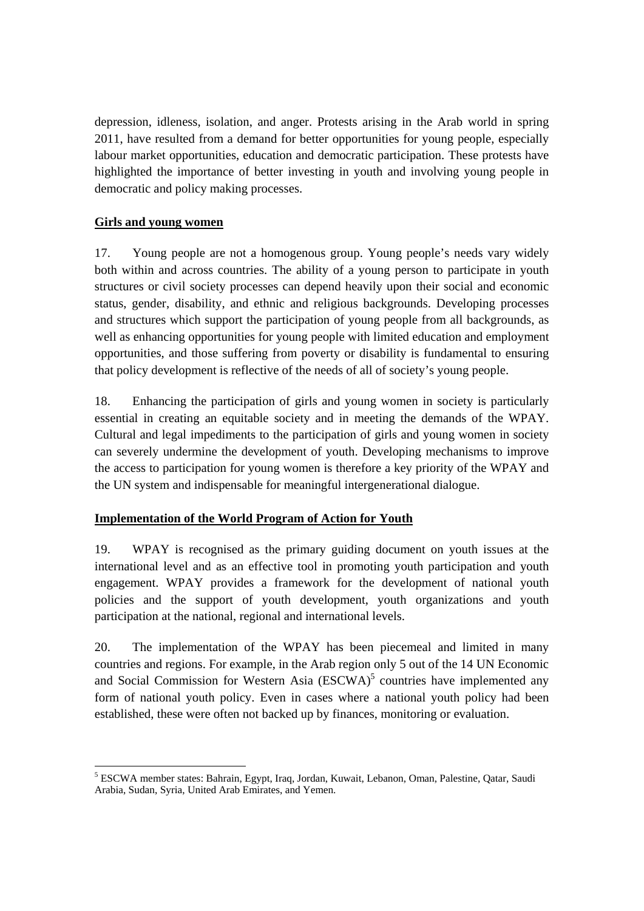depression, idleness, isolation, and anger. Protests arising in the Arab world in spring 2011, have resulted from a demand for better opportunities for young people, especially labour market opportunities, education and democratic participation. These protests have highlighted the importance of better investing in youth and involving young people in democratic and policy making processes.

### **Girls and young women**

17. Young people are not a homogenous group. Young people's needs vary widely both within and across countries. The ability of a young person to participate in youth structures or civil society processes can depend heavily upon their social and economic status, gender, disability, and ethnic and religious backgrounds. Developing processes and structures which support the participation of young people from all backgrounds, as well as enhancing opportunities for young people with limited education and employment opportunities, and those suffering from poverty or disability is fundamental to ensuring that policy development is reflective of the needs of all of society's young people.

18. Enhancing the participation of girls and young women in society is particularly essential in creating an equitable society and in meeting the demands of the WPAY. Cultural and legal impediments to the participation of girls and young women in society can severely undermine the development of youth. Developing mechanisms to improve the access to participation for young women is therefore a key priority of the WPAY and the UN system and indispensable for meaningful intergenerational dialogue.

#### **Implementation of the World Program of Action for Youth**

19. WPAY is recognised as the primary guiding document on youth issues at the international level and as an effective tool in promoting youth participation and youth engagement. WPAY provides a framework for the development of national youth policies and the support of youth development, youth organizations and youth participation at the national, regional and international levels.

20. The implementation of the WPAY has been piecemeal and limited in many countries and regions. For example, in the Arab region only 5 out of the 14 UN Economic and Social Commission for Western Asia  $(ESCWA)^5$  countries have implemented any form of national youth policy. Even in cases where a national youth policy had been established, these were often not backed up by finances, monitoring or evaluation.

 <sup>5</sup> ESCWA member states: Bahrain, Egypt, Iraq, Jordan, Kuwait, Lebanon, Oman, Palestine, Qatar, Saudi Arabia, Sudan, Syria, United Arab Emirates, and Yemen.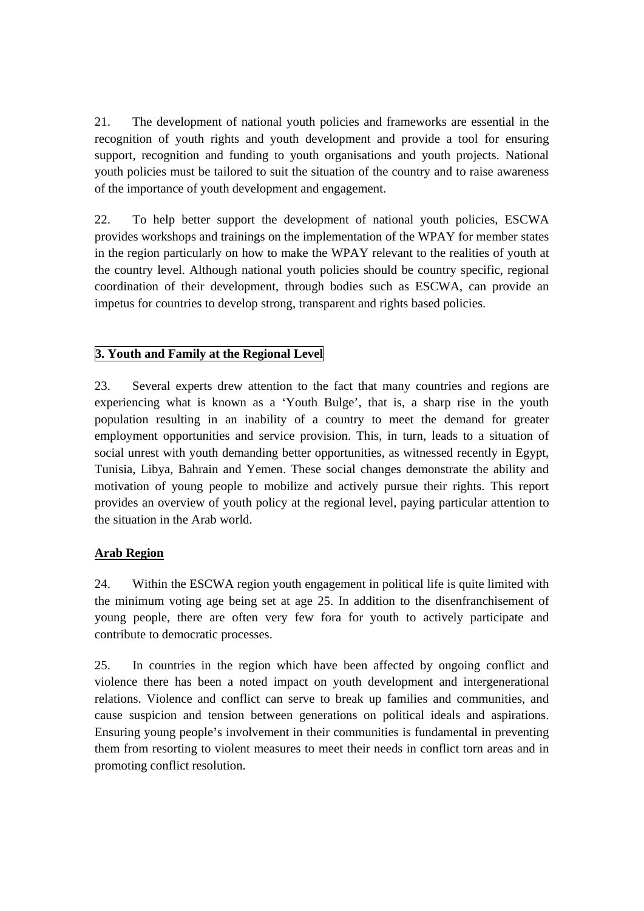21. The development of national youth policies and frameworks are essential in the recognition of youth rights and youth development and provide a tool for ensuring support, recognition and funding to youth organisations and youth projects. National youth policies must be tailored to suit the situation of the country and to raise awareness of the importance of youth development and engagement.

22. To help better support the development of national youth policies, ESCWA provides workshops and trainings on the implementation of the WPAY for member states in the region particularly on how to make the WPAY relevant to the realities of youth at the country level. Although national youth policies should be country specific, regional coordination of their development, through bodies such as ESCWA, can provide an impetus for countries to develop strong, transparent and rights based policies.

# **3. Youth and Family at the Regional Level**

23. Several experts drew attention to the fact that many countries and regions are experiencing what is known as a 'Youth Bulge', that is, a sharp rise in the youth population resulting in an inability of a country to meet the demand for greater employment opportunities and service provision. This, in turn, leads to a situation of social unrest with youth demanding better opportunities, as witnessed recently in Egypt, Tunisia, Libya, Bahrain and Yemen. These social changes demonstrate the ability and motivation of young people to mobilize and actively pursue their rights. This report provides an overview of youth policy at the regional level, paying particular attention to the situation in the Arab world.

#### **Arab Region**

24. Within the ESCWA region youth engagement in political life is quite limited with the minimum voting age being set at age 25. In addition to the disenfranchisement of young people, there are often very few fora for youth to actively participate and contribute to democratic processes.

25. In countries in the region which have been affected by ongoing conflict and violence there has been a noted impact on youth development and intergenerational relations. Violence and conflict can serve to break up families and communities, and cause suspicion and tension between generations on political ideals and aspirations. Ensuring young people's involvement in their communities is fundamental in preventing them from resorting to violent measures to meet their needs in conflict torn areas and in promoting conflict resolution.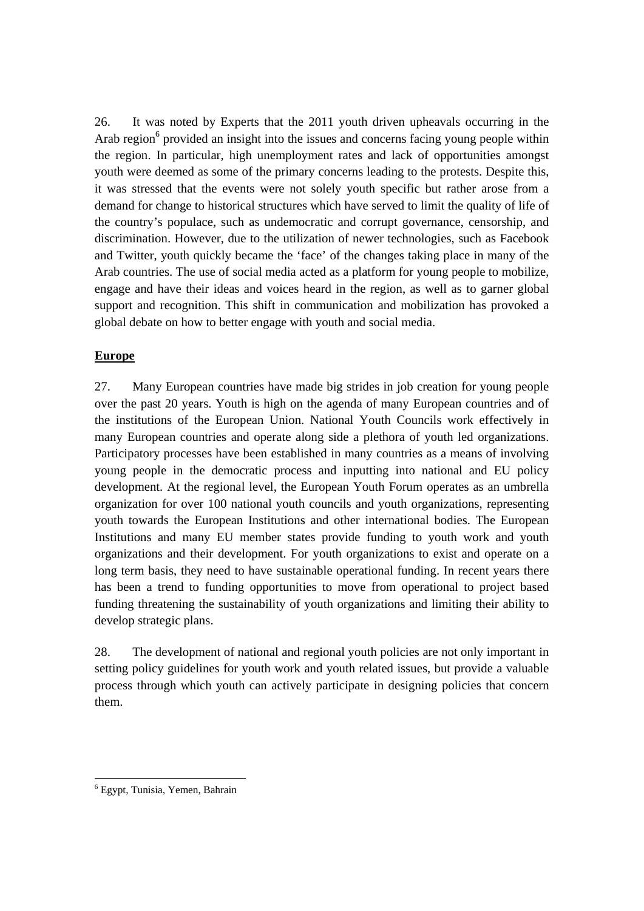26. It was noted by Experts that the 2011 youth driven upheavals occurring in the Arab region<sup>6</sup> provided an insight into the issues and concerns facing young people within the region. In particular, high unemployment rates and lack of opportunities amongst youth were deemed as some of the primary concerns leading to the protests. Despite this, it was stressed that the events were not solely youth specific but rather arose from a demand for change to historical structures which have served to limit the quality of life of the country's populace, such as undemocratic and corrupt governance, censorship, and discrimination. However, due to the utilization of newer technologies, such as Facebook and Twitter, youth quickly became the 'face' of the changes taking place in many of the Arab countries. The use of social media acted as a platform for young people to mobilize, engage and have their ideas and voices heard in the region, as well as to garner global support and recognition. This shift in communication and mobilization has provoked a global debate on how to better engage with youth and social media.

#### **Europe**

27. Many European countries have made big strides in job creation for young people over the past 20 years. Youth is high on the agenda of many European countries and of the institutions of the European Union. National Youth Councils work effectively in many European countries and operate along side a plethora of youth led organizations. Participatory processes have been established in many countries as a means of involving young people in the democratic process and inputting into national and EU policy development. At the regional level, the European Youth Forum operates as an umbrella organization for over 100 national youth councils and youth organizations, representing youth towards the European Institutions and other international bodies. The European Institutions and many EU member states provide funding to youth work and youth organizations and their development. For youth organizations to exist and operate on a long term basis, they need to have sustainable operational funding. In recent years there has been a trend to funding opportunities to move from operational to project based funding threatening the sustainability of youth organizations and limiting their ability to develop strategic plans.

28. The development of national and regional youth policies are not only important in setting policy guidelines for youth work and youth related issues, but provide a valuable process through which youth can actively participate in designing policies that concern them.

 $\overline{a}$ 6 Egypt, Tunisia, Yemen, Bahrain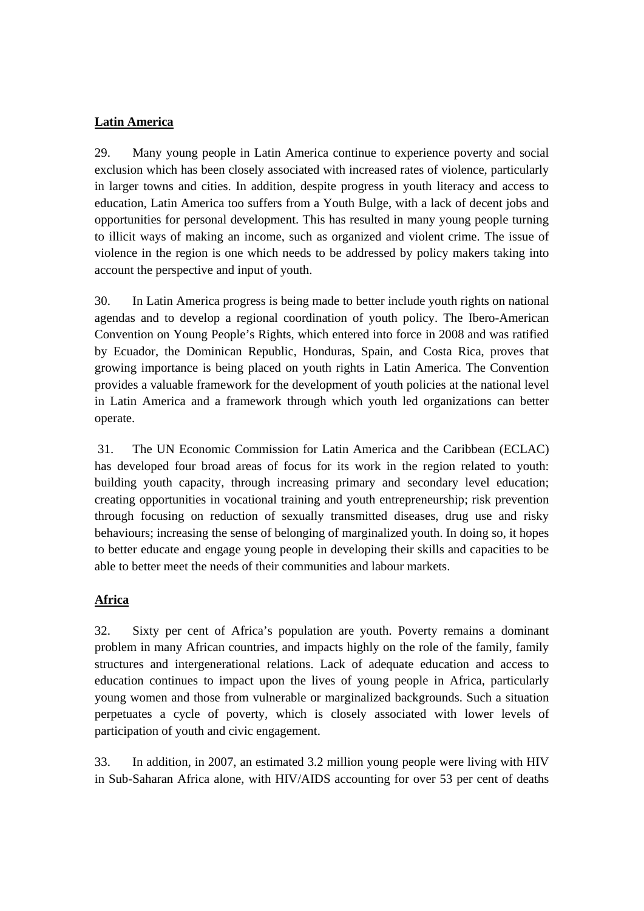### **Latin America**

29. Many young people in Latin America continue to experience poverty and social exclusion which has been closely associated with increased rates of violence, particularly in larger towns and cities. In addition, despite progress in youth literacy and access to education, Latin America too suffers from a Youth Bulge, with a lack of decent jobs and opportunities for personal development. This has resulted in many young people turning to illicit ways of making an income, such as organized and violent crime. The issue of violence in the region is one which needs to be addressed by policy makers taking into account the perspective and input of youth.

30. In Latin America progress is being made to better include youth rights on national agendas and to develop a regional coordination of youth policy. The Ibero-American Convention on Young People's Rights, which entered into force in 2008 and was ratified by Ecuador, the Dominican Republic, Honduras, Spain, and Costa Rica, proves that growing importance is being placed on youth rights in Latin America. The Convention provides a valuable framework for the development of youth policies at the national level in Latin America and a framework through which youth led organizations can better operate.

 31. The UN Economic Commission for Latin America and the Caribbean (ECLAC) has developed four broad areas of focus for its work in the region related to youth: building youth capacity, through increasing primary and secondary level education; creating opportunities in vocational training and youth entrepreneurship; risk prevention through focusing on reduction of sexually transmitted diseases, drug use and risky behaviours; increasing the sense of belonging of marginalized youth. In doing so, it hopes to better educate and engage young people in developing their skills and capacities to be able to better meet the needs of their communities and labour markets.

#### **Africa**

32. Sixty per cent of Africa's population are youth. Poverty remains a dominant problem in many African countries, and impacts highly on the role of the family, family structures and intergenerational relations. Lack of adequate education and access to education continues to impact upon the lives of young people in Africa, particularly young women and those from vulnerable or marginalized backgrounds. Such a situation perpetuates a cycle of poverty, which is closely associated with lower levels of participation of youth and civic engagement.

33. In addition, in 2007, an estimated 3.2 million young people were living with HIV in Sub-Saharan Africa alone, with HIV/AIDS accounting for over 53 per cent of deaths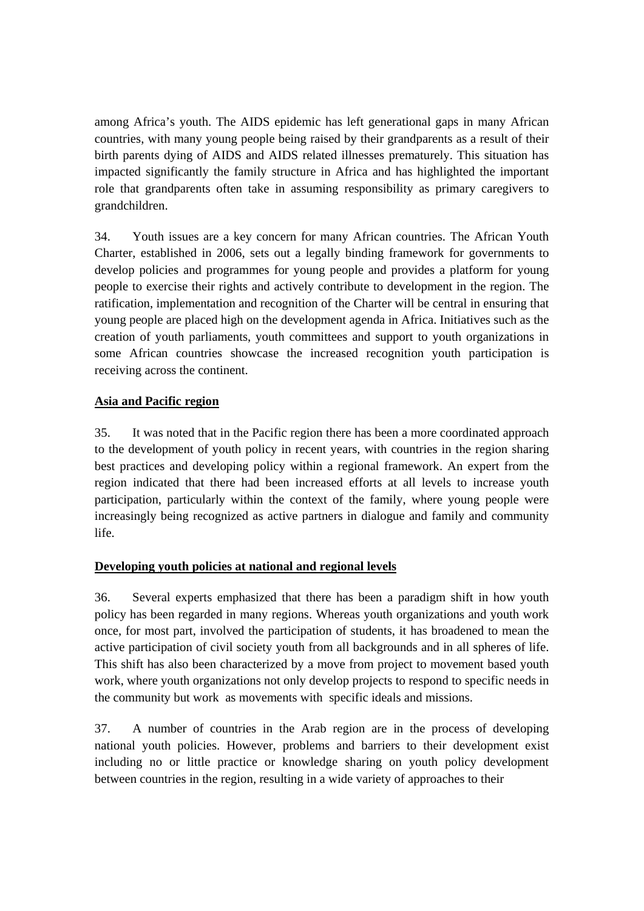among Africa's youth. The AIDS epidemic has left generational gaps in many African countries, with many young people being raised by their grandparents as a result of their birth parents dying of AIDS and AIDS related illnesses prematurely. This situation has impacted significantly the family structure in Africa and has highlighted the important role that grandparents often take in assuming responsibility as primary caregivers to grandchildren.

34. Youth issues are a key concern for many African countries. The African Youth Charter, established in 2006, sets out a legally binding framework for governments to develop policies and programmes for young people and provides a platform for young people to exercise their rights and actively contribute to development in the region. The ratification, implementation and recognition of the Charter will be central in ensuring that young people are placed high on the development agenda in Africa. Initiatives such as the creation of youth parliaments, youth committees and support to youth organizations in some African countries showcase the increased recognition youth participation is receiving across the continent.

# **Asia and Pacific region**

35. It was noted that in the Pacific region there has been a more coordinated approach to the development of youth policy in recent years, with countries in the region sharing best practices and developing policy within a regional framework. An expert from the region indicated that there had been increased efforts at all levels to increase youth participation, particularly within the context of the family, where young people were increasingly being recognized as active partners in dialogue and family and community life.

#### **Developing youth policies at national and regional levels**

36. Several experts emphasized that there has been a paradigm shift in how youth policy has been regarded in many regions. Whereas youth organizations and youth work once, for most part, involved the participation of students, it has broadened to mean the active participation of civil society youth from all backgrounds and in all spheres of life. This shift has also been characterized by a move from project to movement based youth work, where youth organizations not only develop projects to respond to specific needs in the community but work as movements with specific ideals and missions.

37. A number of countries in the Arab region are in the process of developing national youth policies. However, problems and barriers to their development exist including no or little practice or knowledge sharing on youth policy development between countries in the region, resulting in a wide variety of approaches to their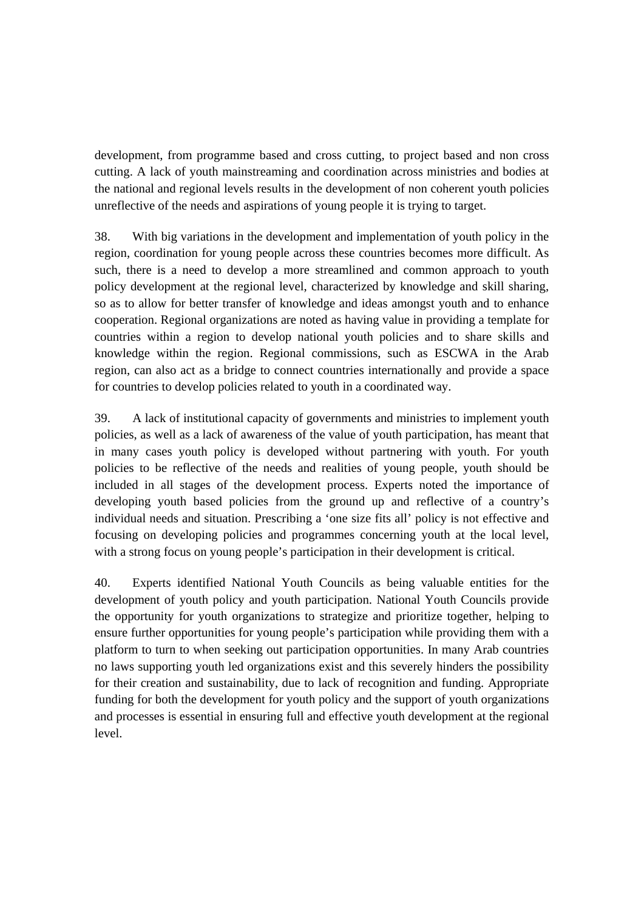development, from programme based and cross cutting, to project based and non cross cutting. A lack of youth mainstreaming and coordination across ministries and bodies at the national and regional levels results in the development of non coherent youth policies unreflective of the needs and aspirations of young people it is trying to target.

38. With big variations in the development and implementation of youth policy in the region, coordination for young people across these countries becomes more difficult. As such, there is a need to develop a more streamlined and common approach to youth policy development at the regional level, characterized by knowledge and skill sharing, so as to allow for better transfer of knowledge and ideas amongst youth and to enhance cooperation. Regional organizations are noted as having value in providing a template for countries within a region to develop national youth policies and to share skills and knowledge within the region. Regional commissions, such as ESCWA in the Arab region, can also act as a bridge to connect countries internationally and provide a space for countries to develop policies related to youth in a coordinated way.

39. A lack of institutional capacity of governments and ministries to implement youth policies, as well as a lack of awareness of the value of youth participation, has meant that in many cases youth policy is developed without partnering with youth. For youth policies to be reflective of the needs and realities of young people, youth should be included in all stages of the development process. Experts noted the importance of developing youth based policies from the ground up and reflective of a country's individual needs and situation. Prescribing a 'one size fits all' policy is not effective and focusing on developing policies and programmes concerning youth at the local level, with a strong focus on young people's participation in their development is critical.

40. Experts identified National Youth Councils as being valuable entities for the development of youth policy and youth participation. National Youth Councils provide the opportunity for youth organizations to strategize and prioritize together, helping to ensure further opportunities for young people's participation while providing them with a platform to turn to when seeking out participation opportunities. In many Arab countries no laws supporting youth led organizations exist and this severely hinders the possibility for their creation and sustainability, due to lack of recognition and funding. Appropriate funding for both the development for youth policy and the support of youth organizations and processes is essential in ensuring full and effective youth development at the regional level.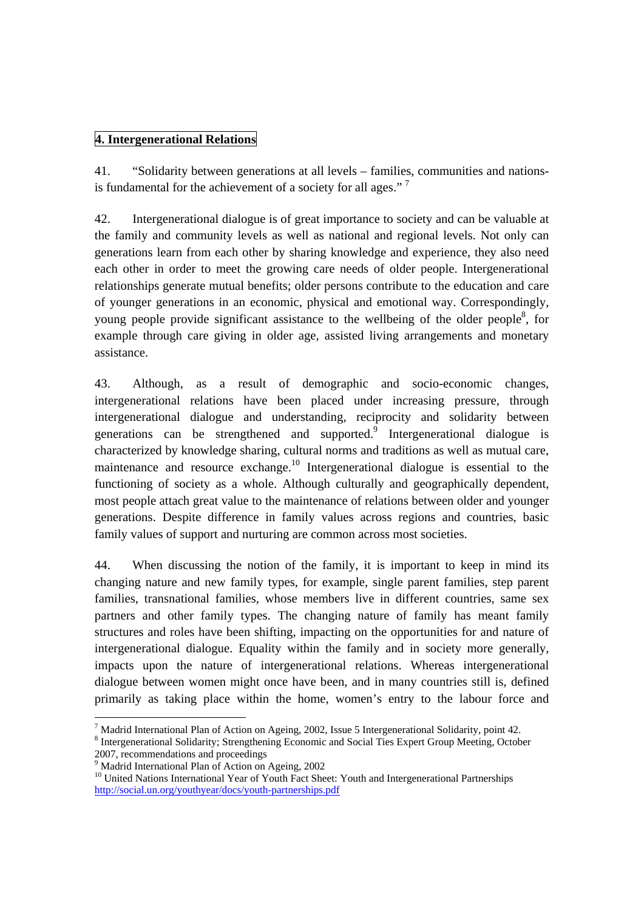### **4. Intergenerational Relations**

41. "Solidarity between generations at all levels – families, communities and nationsis fundamental for the achievement of a society for all ages."<sup>7</sup>

42. Intergenerational dialogue is of great importance to society and can be valuable at the family and community levels as well as national and regional levels. Not only can generations learn from each other by sharing knowledge and experience, they also need each other in order to meet the growing care needs of older people. Intergenerational relationships generate mutual benefits; older persons contribute to the education and care of younger generations in an economic, physical and emotional way. Correspondingly, young people provide significant assistance to the wellbeing of the older people<sup>8</sup>, for example through care giving in older age, assisted living arrangements and monetary assistance.

43. Although, as a result of demographic and socio-economic changes, intergenerational relations have been placed under increasing pressure, through intergenerational dialogue and understanding, reciprocity and solidarity between generations can be strengthened and supported. $9$  Intergenerational dialogue is characterized by knowledge sharing, cultural norms and traditions as well as mutual care, maintenance and resource exchange.<sup>10</sup> Intergenerational dialogue is essential to the functioning of society as a whole. Although culturally and geographically dependent, most people attach great value to the maintenance of relations between older and younger generations. Despite difference in family values across regions and countries, basic family values of support and nurturing are common across most societies.

44. When discussing the notion of the family, it is important to keep in mind its changing nature and new family types, for example, single parent families, step parent families, transnational families, whose members live in different countries, same sex partners and other family types. The changing nature of family has meant family structures and roles have been shifting, impacting on the opportunities for and nature of intergenerational dialogue. Equality within the family and in society more generally, impacts upon the nature of intergenerational relations. Whereas intergenerational dialogue between women might once have been, and in many countries still is, defined primarily as taking place within the home, women's entry to the labour force and

<sup>&</sup>lt;sup>7</sup> Madrid International Plan of Action on Ageing, 2002, Issue 5 Intergenerational Solidarity, point 42.

<sup>&</sup>lt;sup>8</sup> Intergenerational Solidarity; Strengthening Economic and Social Ties Expert Group Meeting, October 2007, recommendations and proceedings

<sup>9</sup> Madrid International Plan of Action on Ageing, 2002

<sup>&</sup>lt;sup>10</sup> United Nations International Year of Youth Fact Sheet: Youth and Intergenerational Partnerships http://social.un.org/youthyear/docs/youth-partnerships.pdf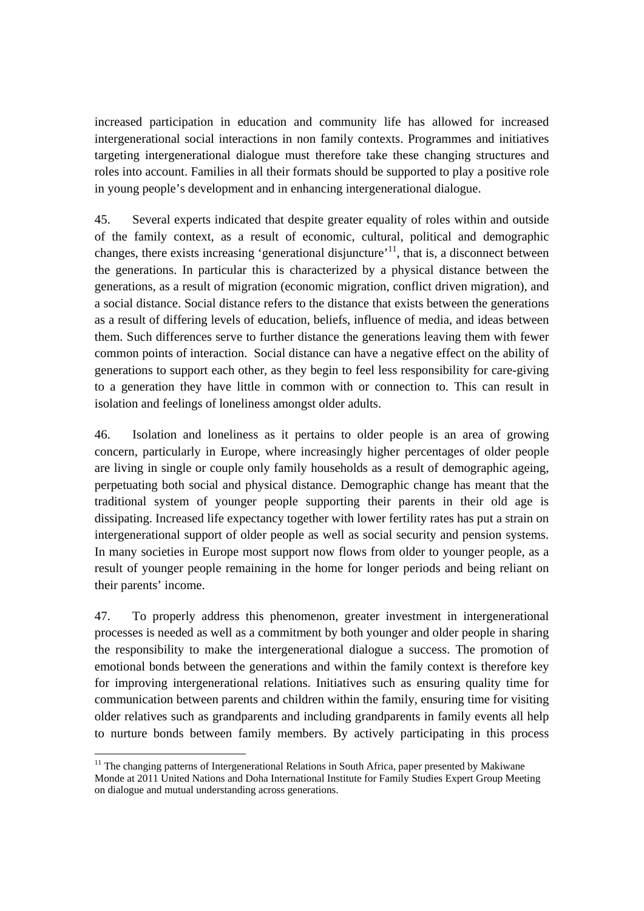increased participation in education and community life has allowed for increased intergenerational social interactions in non family contexts. Programmes and initiatives targeting intergenerational dialogue must therefore take these changing structures and roles into account. Families in all their formats should be supported to play a positive role in young people's development and in enhancing intergenerational dialogue.

45. Several experts indicated that despite greater equality of roles within and outside of the family context, as a result of economic, cultural, political and demographic changes, there exists increasing 'generational disjuncture'<sup>11</sup>, that is, a disconnect between the generations. In particular this is characterized by a physical distance between the generations, as a result of migration (economic migration, conflict driven migration), and a social distance. Social distance refers to the distance that exists between the generations as a result of differing levels of education, beliefs, influence of media, and ideas between them. Such differences serve to further distance the generations leaving them with fewer common points of interaction. Social distance can have a negative effect on the ability of generations to support each other, as they begin to feel less responsibility for care-giving to a generation they have little in common with or connection to. This can result in isolation and feelings of loneliness amongst older adults.

46. Isolation and loneliness as it pertains to older people is an area of growing concern, particularly in Europe, where increasingly higher percentages of older people are living in single or couple only family households as a result of demographic ageing, perpetuating both social and physical distance. Demographic change has meant that the traditional system of younger people supporting their parents in their old age is dissipating. Increased life expectancy together with lower fertility rates has put a strain on intergenerational support of older people as well as social security and pension systems. In many societies in Europe most support now flows from older to younger people, as a result of younger people remaining in the home for longer periods and being reliant on their parents' income.

47. To properly address this phenomenon, greater investment in intergenerational processes is needed as well as a commitment by both younger and older people in sharing the responsibility to make the intergenerational dialogue a success. The promotion of emotional bonds between the generations and within the family context is therefore key for improving intergenerational relations. Initiatives such as ensuring quality time for communication between parents and children within the family, ensuring time for visiting older relatives such as grandparents and including grandparents in family events all help to nurture bonds between family members. By actively participating in this process

<sup>&</sup>lt;sup>11</sup> The changing patterns of Intergenerational Relations in South Africa, paper presented by Makiwane Monde at 2011 United Nations and Doha International Institute for Family Studies Expert Group Meeting on dialogue and mutual understanding across generations.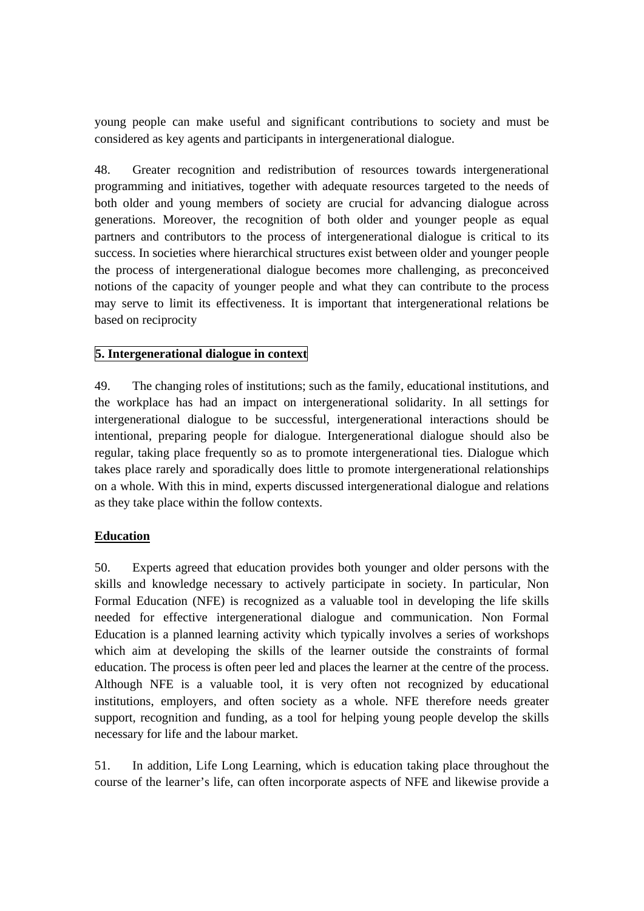young people can make useful and significant contributions to society and must be considered as key agents and participants in intergenerational dialogue.

48. Greater recognition and redistribution of resources towards intergenerational programming and initiatives, together with adequate resources targeted to the needs of both older and young members of society are crucial for advancing dialogue across generations. Moreover, the recognition of both older and younger people as equal partners and contributors to the process of intergenerational dialogue is critical to its success. In societies where hierarchical structures exist between older and younger people the process of intergenerational dialogue becomes more challenging, as preconceived notions of the capacity of younger people and what they can contribute to the process may serve to limit its effectiveness. It is important that intergenerational relations be based on reciprocity

#### **5. Intergenerational dialogue in context**

49. The changing roles of institutions; such as the family, educational institutions, and the workplace has had an impact on intergenerational solidarity. In all settings for intergenerational dialogue to be successful, intergenerational interactions should be intentional, preparing people for dialogue. Intergenerational dialogue should also be regular, taking place frequently so as to promote intergenerational ties. Dialogue which takes place rarely and sporadically does little to promote intergenerational relationships on a whole. With this in mind, experts discussed intergenerational dialogue and relations as they take place within the follow contexts.

#### **Education**

50. Experts agreed that education provides both younger and older persons with the skills and knowledge necessary to actively participate in society. In particular, Non Formal Education (NFE) is recognized as a valuable tool in developing the life skills needed for effective intergenerational dialogue and communication. Non Formal Education is a planned learning activity which typically involves a series of workshops which aim at developing the skills of the learner outside the constraints of formal education. The process is often peer led and places the learner at the centre of the process. Although NFE is a valuable tool, it is very often not recognized by educational institutions, employers, and often society as a whole. NFE therefore needs greater support, recognition and funding, as a tool for helping young people develop the skills necessary for life and the labour market.

51. In addition, Life Long Learning, which is education taking place throughout the course of the learner's life, can often incorporate aspects of NFE and likewise provide a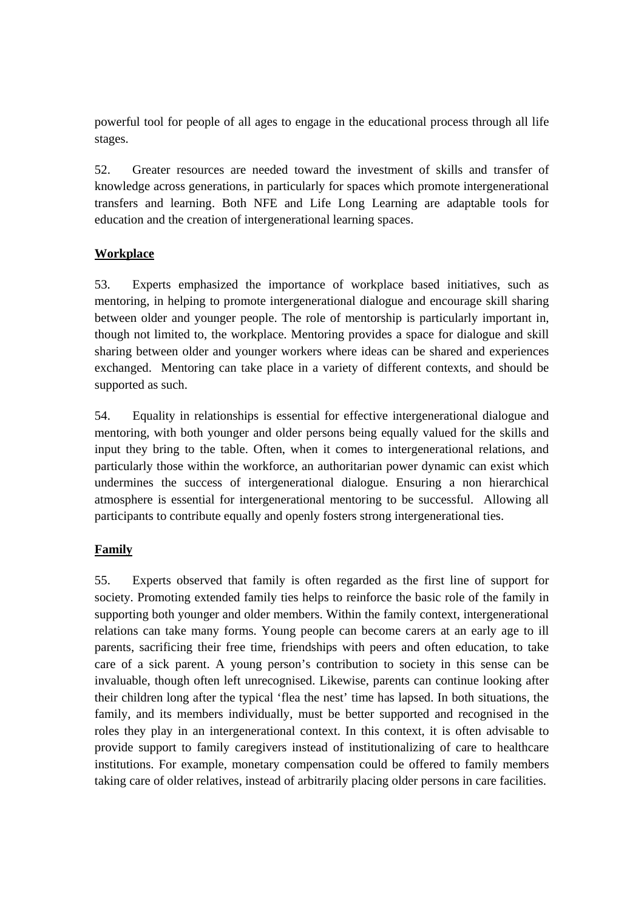powerful tool for people of all ages to engage in the educational process through all life stages.

52. Greater resources are needed toward the investment of skills and transfer of knowledge across generations, in particularly for spaces which promote intergenerational transfers and learning. Both NFE and Life Long Learning are adaptable tools for education and the creation of intergenerational learning spaces.

## **Workplace**

53. Experts emphasized the importance of workplace based initiatives, such as mentoring, in helping to promote intergenerational dialogue and encourage skill sharing between older and younger people. The role of mentorship is particularly important in, though not limited to, the workplace. Mentoring provides a space for dialogue and skill sharing between older and younger workers where ideas can be shared and experiences exchanged. Mentoring can take place in a variety of different contexts, and should be supported as such.

54. Equality in relationships is essential for effective intergenerational dialogue and mentoring, with both younger and older persons being equally valued for the skills and input they bring to the table. Often, when it comes to intergenerational relations, and particularly those within the workforce, an authoritarian power dynamic can exist which undermines the success of intergenerational dialogue. Ensuring a non hierarchical atmosphere is essential for intergenerational mentoring to be successful. Allowing all participants to contribute equally and openly fosters strong intergenerational ties.

# **Family**

55. Experts observed that family is often regarded as the first line of support for society. Promoting extended family ties helps to reinforce the basic role of the family in supporting both younger and older members. Within the family context, intergenerational relations can take many forms. Young people can become carers at an early age to ill parents, sacrificing their free time, friendships with peers and often education, to take care of a sick parent. A young person's contribution to society in this sense can be invaluable, though often left unrecognised. Likewise, parents can continue looking after their children long after the typical 'flea the nest' time has lapsed. In both situations, the family, and its members individually, must be better supported and recognised in the roles they play in an intergenerational context. In this context, it is often advisable to provide support to family caregivers instead of institutionalizing of care to healthcare institutions. For example, monetary compensation could be offered to family members taking care of older relatives, instead of arbitrarily placing older persons in care facilities.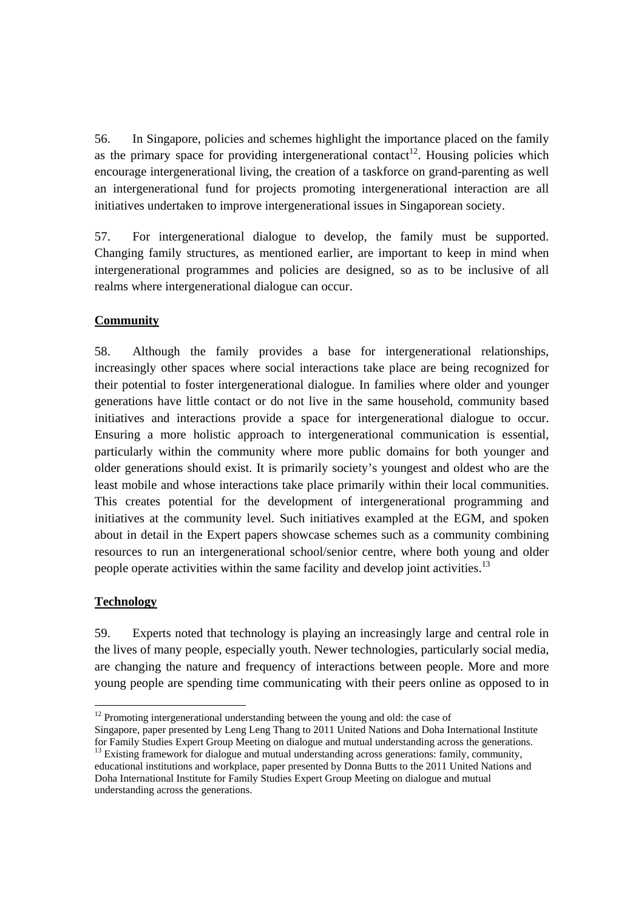56. In Singapore, policies and schemes highlight the importance placed on the family as the primary space for providing intergenerational contact<sup>12</sup>. Housing policies which encourage intergenerational living, the creation of a taskforce on grand-parenting as well an intergenerational fund for projects promoting intergenerational interaction are all initiatives undertaken to improve intergenerational issues in Singaporean society.

57. For intergenerational dialogue to develop, the family must be supported. Changing family structures, as mentioned earlier, are important to keep in mind when intergenerational programmes and policies are designed, so as to be inclusive of all realms where intergenerational dialogue can occur.

## **Community**

58. Although the family provides a base for intergenerational relationships, increasingly other spaces where social interactions take place are being recognized for their potential to foster intergenerational dialogue. In families where older and younger generations have little contact or do not live in the same household, community based initiatives and interactions provide a space for intergenerational dialogue to occur. Ensuring a more holistic approach to intergenerational communication is essential, particularly within the community where more public domains for both younger and older generations should exist. It is primarily society's youngest and oldest who are the least mobile and whose interactions take place primarily within their local communities. This creates potential for the development of intergenerational programming and initiatives at the community level. Such initiatives exampled at the EGM, and spoken about in detail in the Expert papers showcase schemes such as a community combining resources to run an intergenerational school/senior centre, where both young and older people operate activities within the same facility and develop joint activities.<sup>13</sup>

#### **Technology**

l

59. Experts noted that technology is playing an increasingly large and central role in the lives of many people, especially youth. Newer technologies, particularly social media, are changing the nature and frequency of interactions between people. More and more young people are spending time communicating with their peers online as opposed to in

 $12$  Promoting intergenerational understanding between the young and old: the case of

Singapore, paper presented by Leng Leng Thang to 2011 United Nations and Doha International Institute for Family Studies Expert Group Meeting on dialogue and mutual understanding across the generations.

<sup>&</sup>lt;sup>13</sup> Existing framework for dialogue and mutual understanding across generations: family, community, educational institutions and workplace, paper presented by Donna Butts to the 2011 United Nations and Doha International Institute for Family Studies Expert Group Meeting on dialogue and mutual understanding across the generations.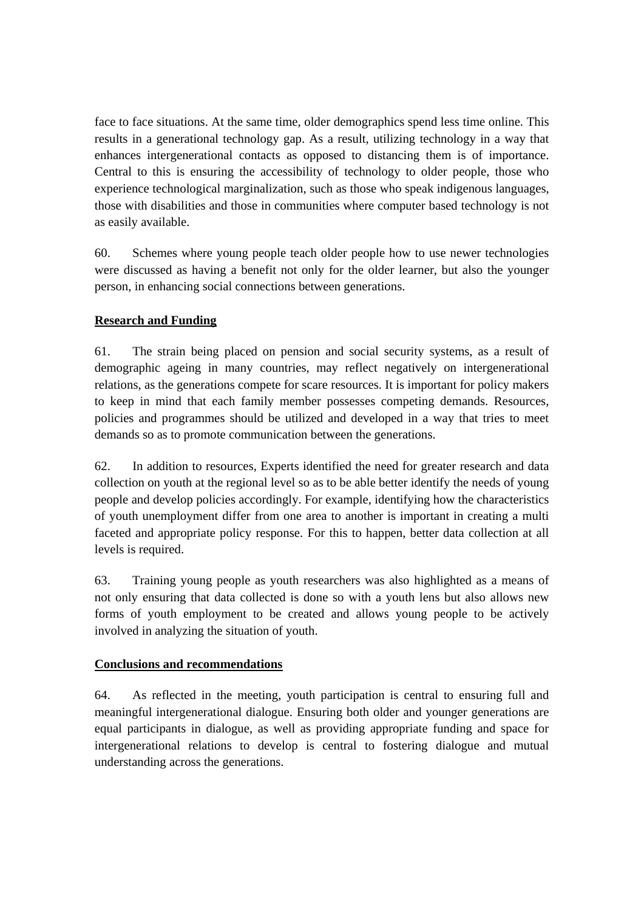face to face situations. At the same time, older demographics spend less time online. This results in a generational technology gap. As a result, utilizing technology in a way that enhances intergenerational contacts as opposed to distancing them is of importance. Central to this is ensuring the accessibility of technology to older people, those who experience technological marginalization, such as those who speak indigenous languages, those with disabilities and those in communities where computer based technology is not as easily available.

60. Schemes where young people teach older people how to use newer technologies were discussed as having a benefit not only for the older learner, but also the younger person, in enhancing social connections between generations.

# **Research and Funding**

61. The strain being placed on pension and social security systems, as a result of demographic ageing in many countries, may reflect negatively on intergenerational relations, as the generations compete for scare resources. It is important for policy makers to keep in mind that each family member possesses competing demands. Resources, policies and programmes should be utilized and developed in a way that tries to meet demands so as to promote communication between the generations.

62. In addition to resources, Experts identified the need for greater research and data collection on youth at the regional level so as to be able better identify the needs of young people and develop policies accordingly. For example, identifying how the characteristics of youth unemployment differ from one area to another is important in creating a multi faceted and appropriate policy response. For this to happen, better data collection at all levels is required.

63. Training young people as youth researchers was also highlighted as a means of not only ensuring that data collected is done so with a youth lens but also allows new forms of youth employment to be created and allows young people to be actively involved in analyzing the situation of youth.

#### **Conclusions and recommendations**

64. As reflected in the meeting, youth participation is central to ensuring full and meaningful intergenerational dialogue. Ensuring both older and younger generations are equal participants in dialogue, as well as providing appropriate funding and space for intergenerational relations to develop is central to fostering dialogue and mutual understanding across the generations.